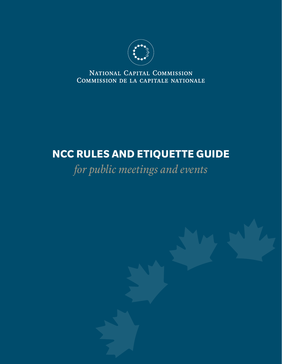

NATIONAL CAPITAL COMMISSION COMMISSION DE LA CAPITALE NATIONALE

# **NCC RULES AND ETIQUETTE GUIDE**

*for public meetings and events*

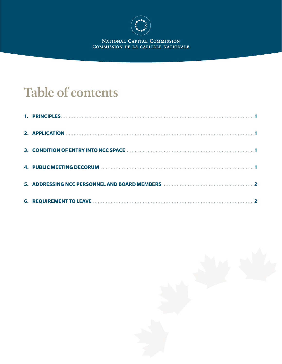

NATIONAL CAPITAL COMMISSION<br>COMMISSION DE LA CAPITALE NATIONALE

# **Table of contents**

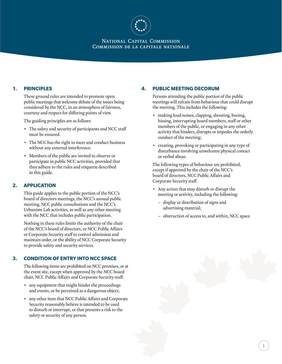

#### NATIONAL CAPITAL COMMISSION COMMISSION DE LA CAPITALE NATIONALE

### <span id="page-2-0"></span>**1. PRINCIPLES**

These ground rules are intended to promote open public meetings that welcome debate of the issues being considered by the NCC, in an atmosphere of fairness, courtesy and respect for differing points of view.

The guiding principles are as follows:

- The safety and security of participants and NCC staff must be ensured.
- The NCC has the right to meet and conduct business without any external interference.
- Members of the public are invited to observe or participate in public NCC activities, provided that they adhere to the rules and etiquette described in this guide.

### **2. APPLICATION**

This guide applies to the public portion of the NCC's board of directors meetings, the NCC's annual public meeting, NCC public consultations and the NCC's Urbanism Lab activities, as well as any other meeting with the NCC that includes public participation.

Nothing in these rules limits the authority of the chair of the NCC's board of directors, or NCC Public Affairs or Corporate Security staff to control admission and maintain order, or the ability of NCC Corporate Security to provide safety and security services.

### **3. CONDITION OF ENTRY INTO NCC SPACE**

The following items are prohibited on NCC premises, or at the event site, except when approved by the NCC board chair, NCC Public Affairs and Corporate Security staff:

- any equipment that might hinder the proceedings and events, or be perceived as a dangerous object;
- any other item that NCC Public Affairs and Corporate Security reasonably believe is intended to be used to disturb or interrupt, or that presents a risk to the safety or security of any person.

#### **4. PUBLIC MEETING DECORUM**

Persons attending the public portion of the public meetings will refrain from behaviour that could disrupt the meeting. This includes the following:

- making loud noises, clapping, shouting, booing, hissing, interrupting board members, staff or other members of the public, or engaging in any other activity that hinders, disrupts or impedes the orderly conduct of the meeting;
- creating, provoking or participating in any type of disturbance involving unwelcome physical contact or verbal abuse.

The following types of behaviour are prohibited, except if approved by the chair of the NCC's board of directors, NCC Public Affairs and Corporate Security staff.

- Any action that may disturb or disrupt the meeting or activity, including the following:
	- display or distribution of signs and advertising material;
	- obstruction of access to, and within, NCC space.